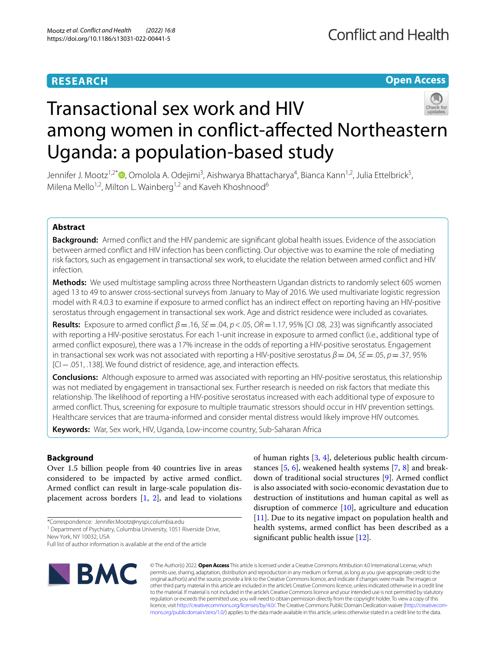## **RESEARCH**

**Open Access**

# Transactional sex work and HIV among women in confict-afected Northeastern Uganda: a population-based study

Jennifer J. Mootz<sup>1,2[\\*](http://orcid.org/0000-0001-8201-4518)</sup>®, Omolola A. Odejimi<sup>3</sup>, Aishwarya Bhattacharya<sup>4</sup>, Bianca Kann<sup>1,2</sup>, Julia Ettelbrick<sup>5</sup>, Milena Mello<sup>1,2</sup>, Milton L. Wainberg<sup>1,2</sup> and Kaveh Khoshnood<sup>6</sup>

## **Abstract**

**Background:** Armed confict and the HIV pandemic are signifcant global health issues. Evidence of the association between armed confict and HIV infection has been conficting. Our objective was to examine the role of mediating risk factors, such as engagement in transactional sex work, to elucidate the relation between armed confict and HIV infection.

**Methods:** We used multistage sampling across three Northeastern Ugandan districts to randomly select 605 women aged 13 to 49 to answer cross-sectional surveys from January to May of 2016. We used multivariate logistic regression model with R 4.0.3 to examine if exposure to armed confict has an indirect efect on reporting having an HIV-positive serostatus through engagement in transactional sex work. Age and district residence were included as covariates.

**Results:** Exposure to armed confict *β*=.16, *SE*=.04, *p*<.05, *OR*=1.17, 95% [CI .08, .23] was signifcantly associated with reporting a HIV-positive serostatus. For each 1-unit increase in exposure to armed confict (i.e., additional type of armed confict exposure), there was a 17% increase in the odds of reporting a HIV-positive serostatus. Engagement in transactional sex work was not associated with reporting a HIV-positive serostatus *β*=.04, *SE*=.05, *p*=.37, 95% [CI−.051, .138]. We found district of residence, age, and interaction efects.

**Conclusions:** Although exposure to armed was associated with reporting an HIV-positive serostatus, this relationship was not mediated by engagement in transactional sex. Further research is needed on risk factors that mediate this relationship. The likelihood of reporting a HIV-positive serostatus increased with each additional type of exposure to armed confict. Thus, screening for exposure to multiple traumatic stressors should occur in HIV prevention settings. Healthcare services that are trauma-informed and consider mental distress would likely improve HIV outcomes.

**Keywords:** War, Sex work, HIV, Uganda, Low-income country, Sub-Saharan Africa

## **Background**

Over 1.5 billion people from 40 countries live in areas considered to be impacted by active armed confict. Armed confict can result in large-scale population displacement across borders [[1,](#page-7-0) [2](#page-7-1)], and lead to violations

Full list of author information is available at the end of the article



of human rights [[3](#page-7-2), [4\]](#page-7-3), deleterious public health circumstances [\[5](#page-7-4), [6](#page-7-5)], weakened health systems [\[7](#page-7-6), [8](#page-7-7)] and breakdown of traditional social structures [\[9](#page-7-8)]. Armed confict is also associated with socio-economic devastation due to destruction of institutions and human capital as well as disruption of commerce [\[10](#page-7-9)], agriculture and education [[11\]](#page-8-0). Due to its negative impact on population health and health systems, armed confict has been described as a significant public health issue [\[12](#page-8-1)].

© The Author(s) 2022. **Open Access** This article is licensed under a Creative Commons Attribution 4.0 International License, which permits use, sharing, adaptation, distribution and reproduction in any medium or format, as long as you give appropriate credit to the original author(s) and the source, provide a link to the Creative Commons licence, and indicate if changes were made. The images or other third party material in this article are included in the article's Creative Commons licence, unless indicated otherwise in a credit line to the material. If material is not included in the article's Creative Commons licence and your intended use is not permitted by statutory regulation or exceeds the permitted use, you will need to obtain permission directly from the copyright holder. To view a copy of this licence, visit [http://creativecommons.org/licenses/by/4.0/.](http://creativecommons.org/licenses/by/4.0/) The Creative Commons Public Domain Dedication waiver ([http://creativecom](http://creativecommons.org/publicdomain/zero/1.0/)[mons.org/publicdomain/zero/1.0/\)](http://creativecommons.org/publicdomain/zero/1.0/) applies to the data made available in this article, unless otherwise stated in a credit line to the data.

<sup>\*</sup>Correspondence: Jennifer.Mootz@nyspi.columbia.edu

<sup>&</sup>lt;sup>1</sup> Department of Psychiatry, Columbia University, 1051 Riverside Drive, New York, NY 10032, USA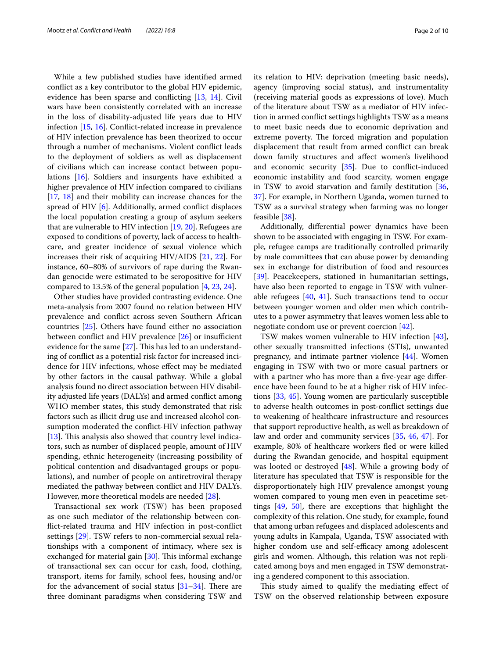While a few published studies have identifed armed confict as a key contributor to the global HIV epidemic, evidence has been sparse and conficting [\[13](#page-8-2), [14](#page-8-3)]. Civil wars have been consistently correlated with an increase in the loss of disability-adjusted life years due to HIV infection [\[15](#page-8-4), [16\]](#page-8-5). Confict-related increase in prevalence of HIV infection prevalence has been theorized to occur through a number of mechanisms. Violent confict leads to the deployment of soldiers as well as displacement of civilians which can increase contact between populations [\[16](#page-8-5)]. Soldiers and insurgents have exhibited a higher prevalence of HIV infection compared to civilians [[17,](#page-8-6) [18](#page-8-7)] and their mobility can increase chances for the spread of HIV [[6\]](#page-7-5). Additionally, armed confict displaces the local population creating a group of asylum seekers that are vulnerable to HIV infection [\[19](#page-8-8), [20\]](#page-8-9). Refugees are exposed to conditions of poverty, lack of access to healthcare, and greater incidence of sexual violence which increases their risk of acquiring HIV/AIDS [[21,](#page-8-10) [22](#page-8-11)]. For instance, 60–80% of survivors of rape during the Rwandan genocide were estimated to be seropositive for HIV compared to 13.5% of the general population [[4,](#page-7-3) [23](#page-8-12), [24](#page-8-13)].

Other studies have provided contrasting evidence. One meta-analysis from 2007 found no relation between HIV prevalence and confict across seven Southern African countries [[25\]](#page-8-14). Others have found either no association between conflict and HIV prevalence  $[26]$  or insufficient evidence for the same  $[27]$  $[27]$ . This has led to an understanding of confict as a potential risk factor for increased incidence for HIV infections, whose efect may be mediated by other factors in the causal pathway. While a global analysis found no direct association between HIV disability adjusted life years (DALYs) and armed confict among WHO member states, this study demonstrated that risk factors such as illicit drug use and increased alcohol consumption moderated the confict-HIV infection pathway [ $13$ ]. This analysis also showed that country level indicators, such as number of displaced people, amount of HIV spending, ethnic heterogeneity (increasing possibility of political contention and disadvantaged groups or populations), and number of people on antiretroviral therapy mediated the pathway between confict and HIV DALYs. However, more theoretical models are needed [[28](#page-8-17)].

Transactional sex work (TSW) has been proposed as one such mediator of the relationship between confict-related trauma and HIV infection in post-confict settings [\[29\]](#page-8-18). TSW refers to non-commercial sexual relationships with a component of intimacy, where sex is exchanged for material gain  $[30]$  $[30]$ . This informal exchange of transactional sex can occur for cash, food, clothing, transport, items for family, school fees, housing and/or for the advancement of social status  $[31-34]$  $[31-34]$ . There are three dominant paradigms when considering TSW and its relation to HIV: deprivation (meeting basic needs), agency (improving social status), and instrumentality (receiving material goods as expressions of love). Much of the literature about TSW as a mediator of HIV infection in armed confict settings highlights TSW as a means to meet basic needs due to economic deprivation and extreme poverty. The forced migration and population displacement that result from armed confict can break down family structures and afect women's livelihood and economic security [\[35](#page-8-22)]. Due to confict-induced economic instability and food scarcity, women engage in TSW to avoid starvation and family destitution [[36](#page-8-23), [37\]](#page-8-24). For example, in Northern Uganda, women turned to TSW as a survival strategy when farming was no longer feasible [[38\]](#page-8-25).

Additionally, diferential power dynamics have been shown to be associated with engaging in TSW. For example, refugee camps are traditionally controlled primarily by male committees that can abuse power by demanding sex in exchange for distribution of food and resources [[39\]](#page-8-26). Peacekeepers, stationed in humanitarian settings, have also been reported to engage in TSW with vulnerable refugees [[40,](#page-8-27) [41\]](#page-8-28). Such transactions tend to occur between younger women and older men which contributes to a power asymmetry that leaves women less able to negotiate condom use or prevent coercion [\[42](#page-8-29)].

TSW makes women vulnerable to HIV infection [\[43](#page-8-30)], other sexually transmitted infections (STIs), unwanted pregnancy, and intimate partner violence [[44](#page-8-31)]. Women engaging in TSW with two or more casual partners or with a partner who has more than a five-year age difference have been found to be at a higher risk of HIV infections [\[33](#page-8-32), [45](#page-8-33)]. Young women are particularly susceptible to adverse health outcomes in post-confict settings due to weakening of healthcare infrastructure and resources that support reproductive health, as well as breakdown of law and order and community services [[35,](#page-8-22) [46](#page-8-34), [47\]](#page-8-35). For example, 80% of healthcare workers fed or were killed during the Rwandan genocide, and hospital equipment was looted or destroyed [\[48](#page-8-36)]. While a growing body of literature has speculated that TSW is responsible for the disproportionately high HIV prevalence amongst young women compared to young men even in peacetime settings [[49,](#page-8-37) [50\]](#page-8-38), there are exceptions that highlight the complexity of this relation. One study, for example, found that among urban refugees and displaced adolescents and young adults in Kampala, Uganda, TSW associated with higher condom use and self-efficacy among adolescent girls and women. Although, this relation was not replicated among boys and men engaged in TSW demonstrating a gendered component to this association.

This study aimed to qualify the mediating effect of TSW on the observed relationship between exposure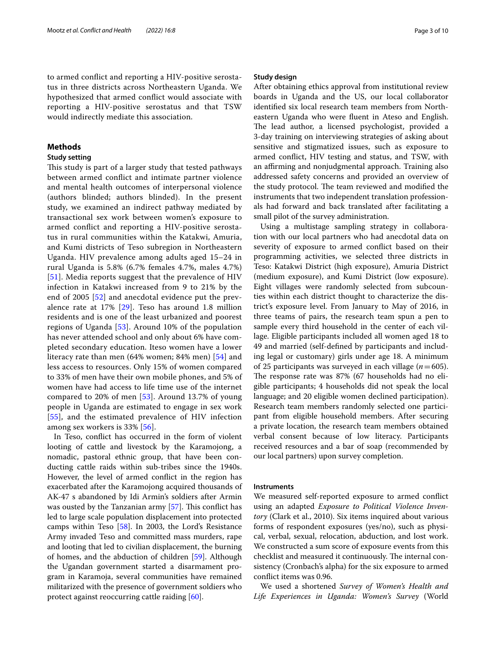to armed confict and reporting a HIV-positive serostatus in three districts across Northeastern Uganda. We hypothesized that armed confict would associate with reporting a HIV-positive serostatus and that TSW would indirectly mediate this association.

## **Methods**

## **Study setting**

This study is part of a larger study that tested pathways between armed confict and intimate partner violence and mental health outcomes of interpersonal violence (authors blinded; authors blinded). In the present study, we examined an indirect pathway mediated by transactional sex work between women's exposure to armed confict and reporting a HIV-positive serostatus in rural communities within the Katakwi, Amuria, and Kumi districts of Teso subregion in Northeastern Uganda. HIV prevalence among adults aged 15–24 in rural Uganda is 5.8% (6.7% females 4.7%, males 4.7%) [[51](#page-8-39)]. Media reports suggest that the prevalence of HIV infection in Katakwi increased from 9 to 21% by the end of 2005 [[52](#page-8-40)] and anecdotal evidence put the prevalence rate at 17% [[29\]](#page-8-18). Teso has around 1.8 million residents and is one of the least urbanized and poorest regions of Uganda [\[53](#page-8-41)]. Around 10% of the population has never attended school and only about 6% have completed secondary education. Iteso women have a lower literacy rate than men (64% women; 84% men) [[54](#page-8-42)] and less access to resources. Only 15% of women compared to 33% of men have their own mobile phones, and 5% of women have had access to life time use of the internet compared to 20% of men [[53\]](#page-8-41). Around 13.7% of young people in Uganda are estimated to engage in sex work [[55](#page-8-43)], and the estimated prevalence of HIV infection among sex workers is 33% [[56\]](#page-8-44).

In Teso, confict has occurred in the form of violent looting of cattle and livestock by the Karamojong, a nomadic, pastoral ethnic group, that have been conducting cattle raids within sub-tribes since the 1940s. However, the level of armed confict in the region has exacerbated after the Karamojong acquired thousands of AK-47 s abandoned by Idi Armin's soldiers after Armin was ousted by the Tanzanian army  $[57]$  $[57]$ . This conflict has led to large scale population displacement into protected camps within Teso [[58\]](#page-8-46). In 2003, the Lord's Resistance Army invaded Teso and committed mass murders, rape and looting that led to civilian displacement, the burning of homes, and the abduction of children [\[59\]](#page-8-47). Although the Ugandan government started a disarmament program in Karamoja, several communities have remained militarized with the presence of government soldiers who protect against reoccurring cattle raiding [\[60](#page-8-48)].

### **Study design**

After obtaining ethics approval from institutional review boards in Uganda and the US, our local collaborator identifed six local research team members from Northeastern Uganda who were fuent in Ateso and English. The lead author, a licensed psychologist, provided a 3-day training on interviewing strategies of asking about sensitive and stigmatized issues, such as exposure to armed confict, HIV testing and status, and TSW, with an affirming and nonjudgmental approach. Training also addressed safety concerns and provided an overview of the study protocol. The team reviewed and modified the instruments that two independent translation professionals had forward and back translated after facilitating a small pilot of the survey administration.

Using a multistage sampling strategy in collaboration with our local partners who had anecdotal data on severity of exposure to armed confict based on their programming activities, we selected three districts in Teso: Katakwi District (high exposure), Amuria District (medium exposure), and Kumi District (low exposure). Eight villages were randomly selected from subcounties within each district thought to characterize the district's exposure level. From January to May of 2016, in three teams of pairs, the research team spun a pen to sample every third household in the center of each village. Eligible participants included all women aged 18 to 49 and married (self-defned by participants and including legal or customary) girls under age 18. A minimum of 25 participants was surveyed in each village (*n*=605). The response rate was 87% (67 households had no eligible participants; 4 households did not speak the local language; and 20 eligible women declined participation). Research team members randomly selected one participant from eligible household members. After securing a private location, the research team members obtained verbal consent because of low literacy. Participants received resources and a bar of soap (recommended by our local partners) upon survey completion.

## **Instruments**

We measured self-reported exposure to armed confict using an adapted *Exposure to Political Violence Inventory* (Clark et al., 2010). Six items inquired about various forms of respondent exposures (yes/no), such as physical, verbal, sexual, relocation, abduction, and lost work. We constructed a sum score of exposure events from this checklist and measured it continuously. The internal consistency (Cronbach's alpha) for the six exposure to armed confict items was 0.96.

We used a shortened *Survey of Women's Health and Life Experiences in Uganda: Women's Survey* (World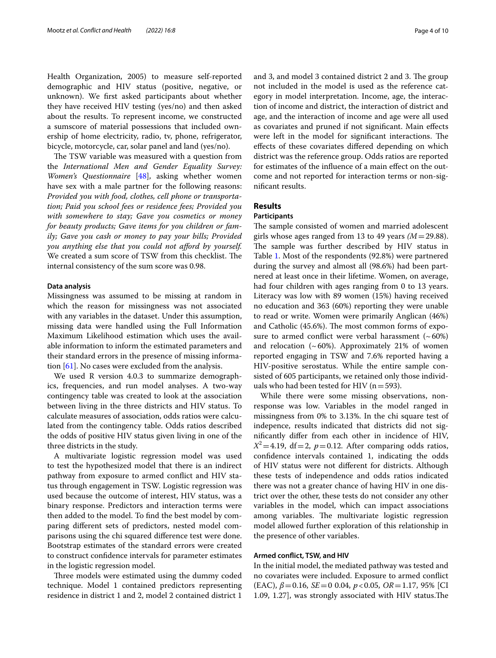Health Organization, 2005) to measure self-reported demographic and HIV status (positive, negative, or unknown). We frst asked participants about whether they have received HIV testing (yes/no) and then asked about the results. To represent income, we constructed a sumscore of material possessions that included ownership of home electricity, radio, tv, phone, refrigerator, bicycle, motorcycle, car, solar panel and land (yes/no).

The TSW variable was measured with a question from the *International Men and Gender Equality Survey: Women's Questionnaire* [\[48](#page-8-36)], asking whether women have sex with a male partner for the following reasons: *Provided you with food, clothes, cell phone or transportation; Paid you school fees or residence fees; Provided you with somewhere to stay; Gave you cosmetics or money for beauty products; Gave items for you children or family; Gave you cash or money to pay your bills; Provided you anything else that you could not aford by yourself.* We created a sum score of TSW from this checklist. The internal consistency of the sum score was 0.98.

## **Data analysis**

Missingness was assumed to be missing at random in which the reason for missingness was not associated with any variables in the dataset. Under this assumption, missing data were handled using the Full Information Maximum Likelihood estimation which uses the available information to inform the estimated parameters and their standard errors in the presence of missing information [[61\]](#page-8-49). No cases were excluded from the analysis.

We used R version 4.0.3 to summarize demographics, frequencies, and run model analyses. A two-way contingency table was created to look at the association between living in the three districts and HIV status. To calculate measures of association, odds ratios were calculated from the contingency table. Odds ratios described the odds of positive HIV status given living in one of the three districts in the study.

A multivariate logistic regression model was used to test the hypothesized model that there is an indirect pathway from exposure to armed confict and HIV status through engagement in TSW. Logistic regression was used because the outcome of interest, HIV status, was a binary response. Predictors and interaction terms were then added to the model. To fnd the best model by comparing diferent sets of predictors, nested model comparisons using the chi squared diference test were done. Bootstrap estimates of the standard errors were created to construct confdence intervals for parameter estimates in the logistic regression model.

Three models were estimated using the dummy coded technique. Model 1 contained predictors representing residence in district 1 and 2, model 2 contained district 1

and 3, and model 3 contained district 2 and 3. The group not included in the model is used as the reference category in model interpretation. Income, age, the interaction of income and district, the interaction of district and age, and the interaction of income and age were all used as covariates and pruned if not signifcant. Main efects were left in the model for significant interactions. The efects of these covariates difered depending on which district was the reference group. Odds ratios are reported for estimates of the infuence of a main efect on the outcome and not reported for interaction terms or non-signifcant results.

## **Results**

## **Participants**

The sample consisted of women and married adolescent girls whose ages ranged from 13 to 49 years *(M*=29.88). The sample was further described by HIV status in Table [1.](#page-4-0) Most of the respondents (92.8%) were partnered during the survey and almost all (98.6%) had been partnered at least once in their lifetime. Women, on average, had four children with ages ranging from 0 to 13 years. Literacy was low with 89 women (15%) having received no education and 363 (60%) reporting they were unable to read or write. Women were primarily Anglican (46%) and Catholic (45.6%). The most common forms of exposure to armed conflict were verbal harassment  $({\sim}60\%)$ and relocation  $({\sim}60\%)$ . Approximately 21% of women reported engaging in TSW and 7.6% reported having a HIV-positive serostatus. While the entire sample consisted of 605 participants, we retained only those individuals who had been tested for HIV ( $n=593$ ).

While there were some missing observations, nonresponse was low. Variables in the model ranged in missingness from 0% to 3.13%. In the chi square test of indepence, results indicated that districts did not signifcantly difer from each other in incidence of HIV,  $X^2 = 4.19$ , df = 2,  $p = 0.12$ . After comparing odds ratios, confdence intervals contained 1, indicating the odds of HIV status were not diferent for districts. Although these tests of independence and odds ratios indicated there was not a greater chance of having HIV in one district over the other, these tests do not consider any other variables in the model, which can impact associations among variables. The multivariate logistic regression model allowed further exploration of this relationship in the presence of other variables.

## **Armed confict, TSW, and HIV**

In the initial model, the mediated pathway was tested and no covariates were included. Exposure to armed confict (EAC), *β*=0.16, *SE*=0 0.04, *p*<0.05, *OR*=1.17, 95% [CI 1.09, 1.27], was strongly associated with HIV status. The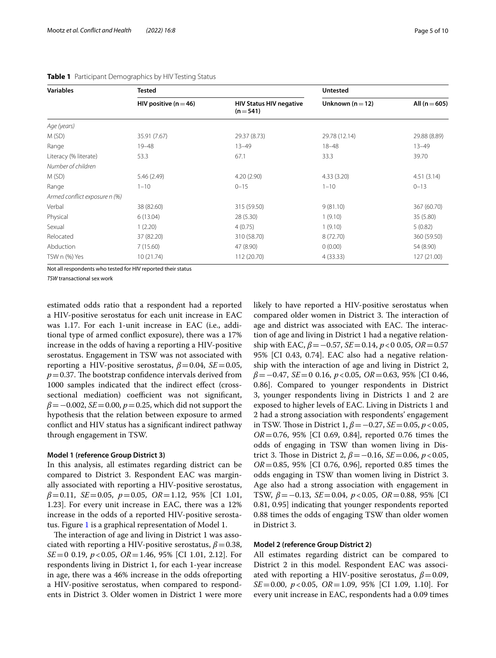| <b>Variables</b>              | Tested                    |                                             | <b>Untested</b>  |                   |
|-------------------------------|---------------------------|---------------------------------------------|------------------|-------------------|
|                               | HIV positive ( $n = 46$ ) | <b>HIV Status HIV negative</b><br>$(n=541)$ | Unknown $(n=12)$ | All ( $n = 605$ ) |
| Age (years)                   |                           |                                             |                  |                   |
| M(SD)                         | 35.91 (7.67)              | 29.37 (8.73)                                | 29.78 (12.14)    | 29.88 (8.89)      |
| Range                         | $19 - 48$                 | $13 - 49$                                   | $18 - 48$        | $13 - 49$         |
| Literacy (% literate)         | 53.3                      | 67.1                                        | 33.3             | 39.70             |
| Number of children            |                           |                                             |                  |                   |
| M(SD)                         | 5.46 (2.49)               | 4.20(2.90)                                  | 4.33(3.20)       | 4.51(3.14)        |
| Range                         | $1 - 10$                  | $0 - 15$                                    | $1 - 10$         | $0 - 13$          |
| Armed conflict exposure n (%) |                           |                                             |                  |                   |
| Verbal                        | 38 (82.60)                | 315 (59.50)                                 | 9(81.10)         | 367 (60.70)       |
| Physical                      | 6(13.04)                  | 28 (5.30)                                   | 1(9.10)          | 35 (5.80)         |
| Sexual                        | 1(2.20)                   | 4(0.75)                                     | 1(9.10)          | 5(0.82)           |
| Relocated                     | 37 (82.20)                | 310 (58.70)                                 | 8 (72.70)        | 360 (59.50)       |
| Abduction                     | 7(15.60)                  | 47 (8.90)                                   | 0(0.00)          | 54 (8.90)         |
| TSW n (%) Yes                 | 10(21.74)                 | 112 (20.70)                                 | 4(33.33)         | 127 (21.00)       |

### <span id="page-4-0"></span>**Table 1** Participant Demographics by HIV Testing Status

Not all respondents who tested for HIV reported their status

*TSW* transactional sex work

estimated odds ratio that a respondent had a reported a HIV-positive serostatus for each unit increase in EAC was 1.17. For each 1-unit increase in EAC (i.e., additional type of armed confict exposure), there was a 17% increase in the odds of having a reporting a HIV-positive serostatus. Engagement in TSW was not associated with reporting a HIV-positive serostatus,  $β=0.04$ , *SE*=0.05,  $p$  = 0.37. The bootstrap confidence intervals derived from 1000 samples indicated that the indirect efect (crosssectional mediation) coefficient was not significant,  $\beta = -0.002$ , *SE*=0.00, *p*=0.25, which did not support the hypothesis that the relation between exposure to armed confict and HIV status has a signifcant indirect pathway through engagement in TSW.

#### **Model 1 (reference Group District 3)**

In this analysis, all estimates regarding district can be compared to District 3. Respondent EAC was marginally associated with reporting a HIV-positive serostatus, *β*=0.11, *SE*=0.05, *p*=0.05, *OR*=1.12, 95% [CI 1.01, 1.23]. For every unit increase in EAC, there was a 12% increase in the odds of a reported HIV-positive serostatus. Figure [1](#page-5-0) is a graphical representation of Model 1.

The interaction of age and living in District 1 was associated with reporting a HIV-positive serostatus,  $\beta$  = 0.38, *SE*=0 0.19, *p*<0.05, *OR*=1.46, 95% [CI 1.01, 2.12]. For respondents living in District 1, for each 1-year increase in age, there was a 46% increase in the odds ofreporting a HIV-positive serostatus, when compared to respondents in District 3. Older women in District 1 were more likely to have reported a HIV-positive serostatus when compared older women in District 3. The interaction of age and district was associated with EAC. The interaction of age and living in District 1 had a negative relationship with EAC,  $β = −0.57$ ,  $SE = 0.14$ ,  $p < 0.05$ ,  $OR = 0.57$ 95% [CI 0.43, 0.74]. EAC also had a negative relationship with the interaction of age and living in District 2, *β*=−0.47, *SE*=0 0.16, *p*<0.05, *OR*=0.63, 95% [CI 0.46, 0.86]. Compared to younger respondents in District 3, younger respondents living in Districts 1 and 2 are exposed to higher levels of EAC. Living in Districts 1 and 2 had a strong association with respondents' engagement in TSW. Tose in District 1, *β*=−0.27, *SE*=0.05, *p*<0.05, *OR*=0.76, 95% [CI 0.69, 0.84], reported 0.76 times the odds of engaging in TSW than women living in District 3. Those in District 2,  $\beta = -0.16$ ,  $SE = 0.06$ ,  $p < 0.05$ , *OR*=0.85, 95% [CI 0.76, 0.96], reported 0.85 times the odds engaging in TSW than women living in District 3. Age also had a strong association with engagement in TSW, *β*=−0.13, *SE*=0.04, *p*<0.05, *OR*=0.88, 95% [CI 0.81, 0.95] indicating that younger respondents reported 0.88 times the odds of engaging TSW than older women in District 3.

## **Model 2 (reference Group District 2)**

All estimates regarding district can be compared to District 2 in this model. Respondent EAC was associated with reporting a HIV-positive serostatus,  $\beta$  = 0.09, *SE*=0.00, *p*<0.05, *OR*=1.09, 95% [CI 1.09, 1.10]. For every unit increase in EAC, respondents had a 0.09 times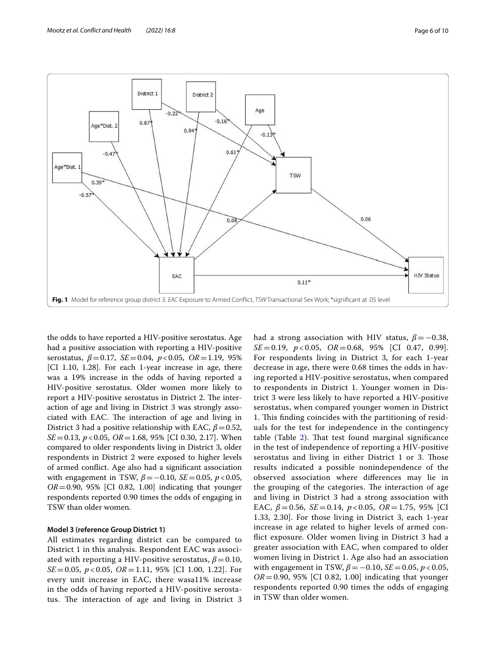

<span id="page-5-0"></span>the odds to have reported a HIV-positive serostatus. Age had a positive association with reporting a HIV-positive serostatus, *β*=0.17, *SE*=0.04, *p*<0.05, *OR*=1.19, 95% [CI 1.10, 1.28]. For each 1-year increase in age, there was a 19% increase in the odds of having reported a HIV-positive serostatus. Older women more likely to report a HIV-positive serostatus in District 2. The interaction of age and living in District 3 was strongly associated with EAC. The interaction of age and living in District 3 had a positive relationship with EAC,  $\beta$  = 0.52, *SE*=0.13, *p*<0.05, *OR*=1.68, 95% [CI 0.30, 2.17]. When compared to older respondents living in District 3, older respondents in District 2 were exposed to higher levels of armed confict. Age also had a signifcant association with engagement in TSW, *β*=−0.10, *SE*=0.05, *p*<0.05, *OR*=0.90, 95% [CI 0.82, 1.00] indicating that younger respondents reported 0.90 times the odds of engaging in TSW than older women.

## **Model 3 (reference Group District 1)**

All estimates regarding district can be compared to District 1 in this analysis. Respondent EAC was associated with reporting a HIV-positive serostatus,  $\beta$  = 0.10, *SE*=0.05, *p* < 0.05, *OR*=1.11, 95% [CI 1.00, 1.22]. For every unit increase in EAC, there wasa11% increase in the odds of having reported a HIV-positive serostatus. The interaction of age and living in District 3 had a strong association with HIV status, *β*=−0.38, *SE*=0.19, *p* < 0.05, *OR*=0.68, 95% [CI 0.47, 0.99]. For respondents living in District 3, for each 1-year decrease in age, there were 0.68 times the odds in having reported a HIV-positive serostatus, when compared to respondents in District 1. Younger women in District 3 were less likely to have reported a HIV-positive serostatus, when compared younger women in District 1. This finding coincides with the partitioning of residuals for the test for independence in the contingency table (Table [2](#page-6-0)). Tat test found marginal signifcance in the test of independence of reporting a HIV-positive serostatus and living in either District 1 or 3. Those results indicated a possible nonindependence of the observed association where diferences may lie in the grouping of the categories. The interaction of age and living in District 3 had a strong association with EAC,  $β = 0.56$ ,  $SE = 0.14$ ,  $p < 0.05$ ,  $OR = 1.75$ ,  $95\%$  [CI 1.33, 2.30]. For those living in District 3, each 1-year increase in age related to higher levels of armed confict exposure. Older women living in District 3 had a greater association with EAC, when compared to older women living in District 1. Age also had an association with engagement in TSW,  $β = −0.10$ , *SE* = 0.05, *p* < 0.05, *OR*=0.90, 95% [CI 0.82, 1.00] indicating that younger respondents reported 0.90 times the odds of engaging in TSW than older women.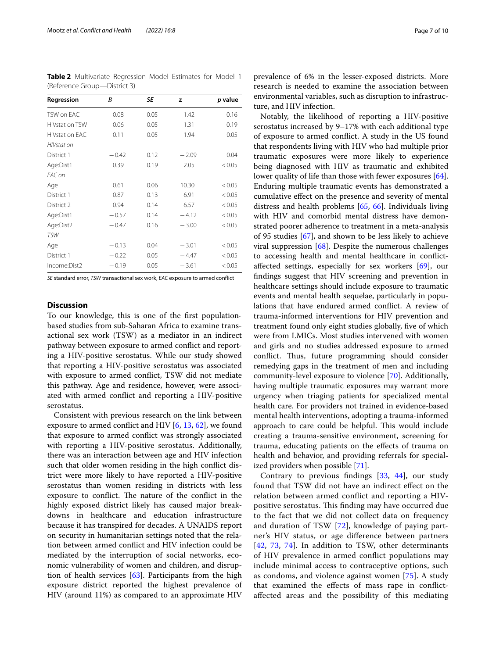<span id="page-6-0"></span>**Table 2** Multivariate Regression Model Estimates for Model 1 (Reference Group—District 3)

| Regression            | B       | SE   | z       | p value |
|-----------------------|---------|------|---------|---------|
| TSW on EAC            | 0.08    | 0.05 | 1.42    | 0.16    |
| HIVstat on TSW        | 0.06    | 0.05 | 1.31    | 0.19    |
| <b>HIVstat on EAC</b> | 0.11    | 0.05 | 1.94    | 0.05    |
| HIVstat on            |         |      |         |         |
| District 1            | $-0.42$ | 0.12 | $-2.09$ | 0.04    |
| Age:Dist1             | 0.39    | 0.19 | 2.05    | < 0.05  |
| EAC on                |         |      |         |         |
| Age                   | 0.61    | 0.06 | 10.30   | < 0.05  |
| District 1            | 0.87    | 0.13 | 6.91    | < 0.05  |
| District 2            | 0.94    | 0.14 | 6.57    | < 0.05  |
| Age:Dist1             | $-0.57$ | 0.14 | $-4.12$ | < 0.05  |
| Age:Dist2             | $-0.47$ | 0.16 | $-3.00$ | < 0.05  |
| <b>TSW</b>            |         |      |         |         |
| Age                   | $-0.13$ | 0.04 | $-3.01$ | < 0.05  |
| District 1            | $-0.22$ | 0.05 | $-4.47$ | < 0.05  |
| Income:Dist2          | $-0.19$ | 0.05 | $-3.61$ | < 0.05  |

*SE* standard error, *TSW* transactional sex work, *EAC* exposure to armed confict

## **Discussion**

To our knowledge, this is one of the frst populationbased studies from sub-Saharan Africa to examine transactional sex work (TSW) as a mediator in an indirect pathway between exposure to armed confict and reporting a HIV-positive serostatus. While our study showed that reporting a HIV-positive serostatus was associated with exposure to armed confict, TSW did not mediate this pathway. Age and residence, however, were associated with armed confict and reporting a HIV-positive serostatus.

Consistent with previous research on the link between exposure to armed confict and HIV [[6](#page-7-5), [13](#page-8-2), [62\]](#page-8-50), we found that exposure to armed confict was strongly associated with reporting a HIV-positive serostatus. Additionally, there was an interaction between age and HIV infection such that older women residing in the high confict district were more likely to have reported a HIV-positive serostatus than women residing in districts with less exposure to conflict. The nature of the conflict in the highly exposed district likely has caused major breakdowns in healthcare and education infrastructure because it has transpired for decades. A UNAIDS report on security in humanitarian settings noted that the relation between armed confict and HIV infection could be mediated by the interruption of social networks, economic vulnerability of women and children, and disruption of health services [[63](#page-9-0)]. Participants from the high exposure district reported the highest prevalence of HIV (around 11%) as compared to an approximate HIV prevalence of 6% in the lesser-exposed districts. More research is needed to examine the association between environmental variables, such as disruption to infrastructure, and HIV infection.

Notably, the likelihood of reporting a HIV-positive serostatus increased by 9–17% with each additional type of exposure to armed confict. A study in the US found that respondents living with HIV who had multiple prior traumatic exposures were more likely to experience being diagnosed with HIV as traumatic and exhibited lower quality of life than those with fewer exposures [\[64](#page-9-1)]. Enduring multiple traumatic events has demonstrated a cumulative efect on the presence and severity of mental distress and health problems [\[65](#page-9-2), [66\]](#page-9-3). Individuals living with HIV and comorbid mental distress have demonstrated poorer adherence to treatment in a meta-analysis of 95 studies [[67](#page-9-4)], and shown to be less likely to achieve viral suppression [[68](#page-9-5)]. Despite the numerous challenges to accessing health and mental healthcare in confictafected settings, especially for sex workers [[69\]](#page-9-6), our fndings suggest that HIV screening and prevention in healthcare settings should include exposure to traumatic events and mental health sequelae, particularly in populations that have endured armed confict. A review of trauma-informed interventions for HIV prevention and treatment found only eight studies globally, fve of which were from LMICs. Most studies intervened with women and girls and no studies addressed exposure to armed conflict. Thus, future programming should consider remedying gaps in the treatment of men and including community-level exposure to violence [\[70\]](#page-9-7). Additionally, having multiple traumatic exposures may warrant more urgency when triaging patients for specialized mental health care. For providers not trained in evidence-based mental health interventions, adopting a trauma-informed approach to care could be helpful. This would include creating a trauma-sensitive environment, screening for trauma, educating patients on the efects of trauma on health and behavior, and providing referrals for specialized providers when possible [\[71\]](#page-9-8).

Contrary to previous fndings [[33](#page-8-32), [44](#page-8-31)], our study found that TSW did not have an indirect efect on the relation between armed confict and reporting a HIVpositive serostatus. This finding may have occurred due to the fact that we did not collect data on frequency and duration of TSW [\[72\]](#page-9-9), knowledge of paying partner's HIV status, or age diference between partners [[42](#page-8-29), [73,](#page-9-10) [74\]](#page-9-11). In addition to TSW, other determinants of HIV prevalence in armed confict populations may include minimal access to contraceptive options, such as condoms, and violence against women [[75](#page-9-12)]. A study that examined the efects of mass rape in confictafected areas and the possibility of this mediating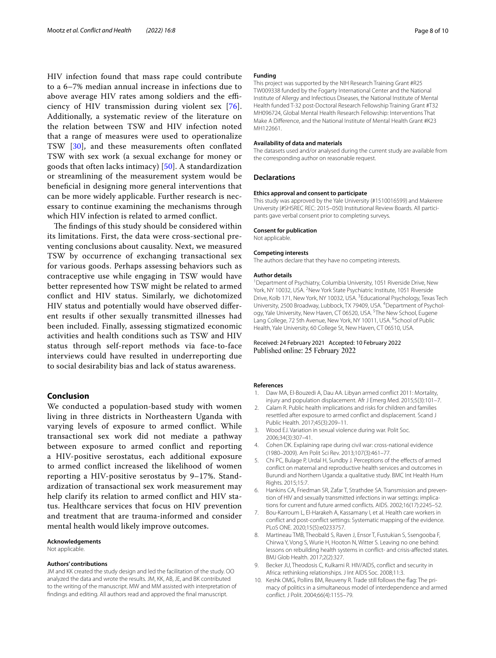HIV infection found that mass rape could contribute to a 6–7% median annual increase in infections due to above average HIV rates among soldiers and the efficiency of HIV transmission during violent sex [[76\]](#page-9-13). Additionally, a systematic review of the literature on the relation between TSW and HIV infection noted that a range of measures were used to operationalize TSW [\[30\]](#page-8-19), and these measurements often confated TSW with sex work (a sexual exchange for money or goods that often lacks intimacy) [[50](#page-8-38)]. A standardization or streamlining of the measurement system would be benefcial in designing more general interventions that can be more widely applicable. Further research is necessary to continue examining the mechanisms through which HIV infection is related to armed confict.

The findings of this study should be considered within its limitations. First, the data were cross-sectional preventing conclusions about causality. Next, we measured TSW by occurrence of exchanging transactional sex for various goods. Perhaps assessing behaviors such as contraceptive use while engaging in TSW would have better represented how TSW might be related to armed confict and HIV status. Similarly, we dichotomized HIV status and potentially would have observed diferent results if other sexually transmitted illnesses had been included. Finally, assessing stigmatized economic activities and health conditions such as TSW and HIV status through self-report methods via face-to-face interviews could have resulted in underreporting due to social desirability bias and lack of status awareness.

## **Conclusion**

We conducted a population-based study with women living in three districts in Northeastern Uganda with varying levels of exposure to armed confict. While transactional sex work did not mediate a pathway between exposure to armed confict and reporting a HIV-positive serostatus, each additional exposure to armed confict increased the likelihood of women reporting a HIV-positive serostatus by 9–17%. Standardization of transactional sex work measurement may help clarify its relation to armed confict and HIV status. Healthcare services that focus on HIV prevention and treatment that are trauma-informed and consider mental health would likely improve outcomes.

#### **Acknowledgements**

Not applicable.

#### **Authors' contributions**

JM and KK created the study design and led the facilitation of the study. OO analyzed the data and wrote the results. JM, KK, AB, JE, and BK contributed to the writing of the manuscript. MW and MM assisted with interpretation of fndings and editing. All authors read and approved the fnal manuscript.

#### **Funding**

This project was supported by the NIH Research Training Grant #R25 TW009338 funded by the Fogarty International Center and the National Institute of Allergy and Infectious Diseases, the National Institute of Mental Health funded T-32 post-Doctoral Research Fellowship Training Grant #T32 MH096724, Global Mental Health Research Fellowship: Interventions That Make A Diference, and the National Institute of Mental Health Grant #K23 MH122661.

## **Availability of data and materials**

The datasets used and/or analysed during the current study are available from the corresponding author on reasonable request.

#### **Declarations**

#### **Ethics approval and consent to participate**

This study was approved by the Yale University (#1510016599) and Makerere University (#SHSREC REC: 2015–050) Institutional Review Boards. All participants gave verbal consent prior to completing surveys.

#### **Consent for publication**

Not applicable.

## **Competing interests**

The authors declare that they have no competing interests.

#### **Author details**

<sup>1</sup> Department of Psychiatry, Columbia University, 1051 Riverside Drive, New York, NY 10032, USA. <sup>2</sup> New York State Psychiatric Institute, 1051 Riverside Drive, Kolb 171, New York, NY 10032, USA. <sup>3</sup>Educational Psychology, Texas Tech University, 2500 Broadway, Lubbock, TX 79409, USA. <sup>4</sup> Department of Psychology, Yale University, New Haven, CT 06520, USA.<sup>5</sup>The New School, Eugene Lang College, 72 5th Avenue, New York, NY 10011, USA. <sup>6</sup>School of Public Health, Yale University, 60 College St, New Haven, CT 06510, USA.

### Received: 24 February 2021 Accepted: 10 February 2022 Published online: 25 February 2022

#### **References**

- <span id="page-7-0"></span>Daw MA, El-Bouzedi A, Dau AA. Libyan armed conflict 2011: Mortality, injury and population displacement. Afr J Emerg Med. 2015;5(3):101–7.
- <span id="page-7-1"></span>Calam R. Public health implications and risks for children and families resettled after exposure to armed confict and displacement. Scand J Public Health. 2017;45(3):209–11.
- <span id="page-7-2"></span>3. Wood EJ. Variation in sexual violence during war. Polit Soc. 2006;34(3):307–41.
- <span id="page-7-3"></span>4. Cohen DK. Explaining rape during civil war: cross-national evidence (1980–2009). Am Polit Sci Rev. 2013;107(3):461–77.
- <span id="page-7-4"></span>5. Chi PC, Bulage P, Urdal H, Sundby J. Perceptions of the efects of armed confict on maternal and reproductive health services and outcomes in Burundi and Northern Uganda: a qualitative study. BMC Int Health Hum Rights. 2015;15:7.
- <span id="page-7-5"></span>6. Hankins CA, Friedman SR, Zafar T, Strathdee SA. Transmission and prevention of HIV and sexually transmitted infections in war settings: implications for current and future armed conficts. AIDS. 2002;16(17):2245–52.
- <span id="page-7-6"></span>Bou-Karroum L, El-Harakeh A, Kassamany I, et al. Health care workers in confict and post-confict settings: Systematic mapping of the evidence. PLoS ONE. 2020;15(5):e0233757.
- <span id="page-7-7"></span>8. Martineau TMB, Theobald S, Raven J, Ensor T, Fustukian S, Ssengooba F, Chirwa Y, Vong S, Wurie H, Hooton N, Witter S. Leaving no one behind: lessons on rebuilding health systems in confict- and crisis-afected states. BMJ Glob Health. 2017;2(2):327.
- <span id="page-7-8"></span>9. Becker JU, Theodosis C, Kulkarni R. HIV/AIDS, confict and security in Africa: rethinking relationships. J Int AIDS Soc. 2008;11:3.
- <span id="page-7-9"></span>10. Keshk OMG, Pollins BM, Reuveny R. Trade still follows the fag: The primacy of politics in a simultaneous model of interdependence and armed confict. J Polit. 2004;66(4):1155–79.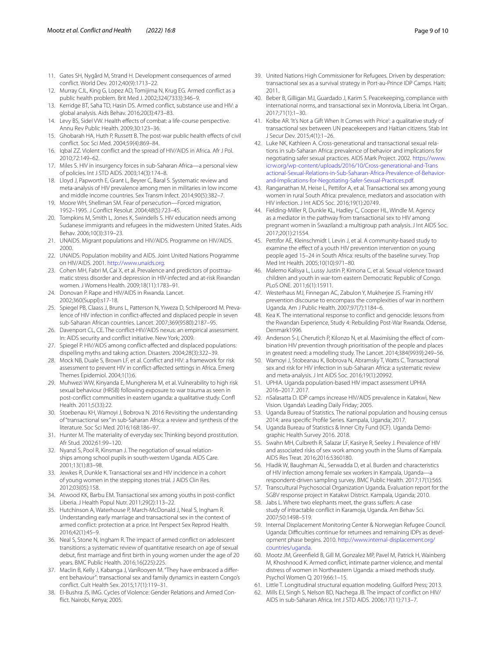- <span id="page-8-0"></span>11. Gates SH, Nygård M, Strand H. Development consequences of armed confict. World Dev. 2012;40(9):1713–22.
- <span id="page-8-1"></span>12. Murray CJL, King G, Lopez AD, Tomijima N, Krug EG. Armed confict as a public health problem. Brit Med J. 2002;324(7333):346–9.
- <span id="page-8-2"></span>13. Kerridge BT, Saha TD, Hasin DS. Armed confict, substance use and HIV: a global analysis. Aids Behav. 2016;20(3):473–83.
- <span id="page-8-3"></span>14. Levy BS, Sidel VW. Health effects of combat: a life-course perspective. Annu Rev Public Health. 2009;30:123–36.
- <span id="page-8-4"></span>15. Ghobarah HA, Huth P, Russett B. The post-war public health effects of civil confict. Soc Sci Med. 2004;59(4):869–84.
- <span id="page-8-5"></span>16. Iqbal ZZ. Violent confict and the spread of HIV/AIDS in Africa. Afr J Pol. 2010;72:149–62.
- <span id="page-8-6"></span>17. Miles S. HIV in insurgency forces in sub-Saharan Africa—a personal view of policies. Int J STD AIDS. 2003;14(3):174–8.
- <span id="page-8-7"></span>18. Lloyd J, Papworth E, Grant L, Beyrer C, Baral S. Systematic review and meta-analysis of HIV prevalence among men in militaries in low income and middle income countries. Sex Transm Infect. 2014;90(5):382–7.
- <span id="page-8-8"></span>19. Moore WH, Shellman SM. Fear of persecution—Forced migration, 1952–1995. J Confict Resolut. 2004;48(5):723–45.
- <span id="page-8-9"></span>20. Tompkins M, Smith L, Jones K, Swindells S. HIV education needs among Sudanese immigrants and refugees in the midwestern United States. Aids Behav. 2006;10(3):319–23.
- <span id="page-8-10"></span>21. UNAIDS. Migrant populations and HIV/AIDS. Programme on HIV/AIDS. 2000.
- <span id="page-8-11"></span>22. UNAIDS. Population mobility and AIDS. Joint United Nations Programme on HIV/AIDS. 2001. [http://www.unaids.org.](http://www.unaids.org)
- <span id="page-8-12"></span>23. Cohen MH, Fabri M, Cai X, et al. Prevalence and predictors of posttraumatic stress disorder and depression in HIV-infected and at-risk Rwandan women. J Womens Health. 2009;18(11):1783–91.
- <span id="page-8-13"></span>24. Donovan P. Rape and HIV/AIDS in Rwanda. Lancet. 2002;360(Suppl):s17-18.
- <span id="page-8-14"></span>25. Spiegel PB, Claass J, Bruns L, Patterson N, Yiweza D, Schilperoord M. Prevalence of HIV infection in confict-afected and displaced people in seven sub-Saharan African countries. Lancet. 2007;369(9580):2187–95.
- <span id="page-8-15"></span>26. Davenport CL, CE. The confict-HIV/AIDS nexus: an empirical assessment. In: AIDS security and confict initiative. New York; 2009.
- <span id="page-8-16"></span>27. Spiegel P. HIV/AIDS among confict-afected and displaced populations: dispelling myths and taking action. Disasters. 2004;28(3):322–39.
- <span id="page-8-17"></span>28. Mock NB, Duale S, Brown LF, et al. Confict and HIV: a framework for risk assessment to prevent HIV in confict-afected settings in Africa. Emerg Themes Epidemiol. 2004;1(1):6.
- <span id="page-8-18"></span>29. Muhwezi WW, Kinyanda E, Mungherera M, et al. Vulnerability to high risk sexual behaviour (HRSB) following exposure to war trauma as seen in post-confict communities in eastern uganda: a qualitative study. Conf Health. 2011;5(33):22.
- <span id="page-8-19"></span>30. Stoebenau KH, Wamoyi J, Bobrova N. 2016 Revisiting the understanding of "transactional sex" in sub-Saharan Africa: a review and synthesis of the literature. Soc Sci Med. 2016;168:186–97.
- <span id="page-8-20"></span>31. Hunter M. The materiality of everyday sex: Thinking beyond prostitution. Afr Stud. 2002;61:99–120.
- 32. Nyanzi S, Pool R, Kinsman J. The negotiation of sexual relationships among school pupils in south-western Uganda. AIDS Care. 2001;13(1):83–98.
- <span id="page-8-32"></span>33. Jewkes R, Dunkle K. Transactional sex and HIV incidence in a cohort of young women in the stepping stones trial. J AIDS Clin Res. 2012;03(05):158.
- <span id="page-8-21"></span>34. Atwood KK, Barbu EM. Transactional sex among youths in post-confict Liberia. J Health Popul Nutr. 2011;29(2):113–22.
- <span id="page-8-22"></span>35. Hutchinson A, Waterhouse P, March-McDonald J, Neal S, Ingham R. Understanding early marriage and transactional sex in the context of armed confict: protection at a price. Int Perspect Sex Reprod Health. 2016;42(1):45–9.
- <span id="page-8-23"></span>36. Neal S, Stone N, Ingham R. The impact of armed confict on adolescent transitions: a systematic review of quantitative research on age of sexual debut, frst marriage and frst birth in young women under the age of 20 years. BMC Public Health. 2016;16(225):225.
- <span id="page-8-24"></span>37. Maclin B, Kelly J, Kabanga J, VanRooyen M. "They have embraced a diferent behaviour": transactional sex and family dynamics in eastern Congo's confict. Cult Health Sex. 2015;17(1):119–31.
- <span id="page-8-25"></span>38. El-Bushra JS, IMG. Cycles of Violence: Gender Relations and Armed Confict. Nairobi, Kenya; 2005.
- <span id="page-8-26"></span>39. United Nations High Commissioner for Refugees. Driven by desperation: transactional sex as a survival strategy in Port-au-Prince IDP Camps. Haiti; 2011.
- <span id="page-8-27"></span>40. Beber B, Gilligan MJ, Guardado J, Karim S. Peacekeeping, compliance with international norms, and transactional sex in Monrovia, Liberia. Int Organ. 2017;71(1):1–30.
- <span id="page-8-28"></span>41. Kolbe AR. 'It's Not a Gift When It Comes with Price': a qualitative study of transactional sex between UN peacekeepers and Haitian citizens. Stab Int J Secur Dev. 2015;4(1):1–26.
- <span id="page-8-29"></span>42. Luke NK, Kathleen A. Cross-generational and transactional sexual relations in sub-Saharan Africa: prevalence of behavior and implications for negotiating safer sexual practices. AIDS Mark Project. 2002. [https://www.](https://www.icrw.org/wp-content/uploads/2016/10/Cross-generational-and-Transactional-Sexual-Relations-in-Sub-Saharan-Africa-Prevalence-of-Behavior-and-Implications-for-Negotiating-Safer-Sexual-Practices.pdf) [icrw.org/wp-content/uploads/2016/10/Cross-generational-and-Trans](https://www.icrw.org/wp-content/uploads/2016/10/Cross-generational-and-Transactional-Sexual-Relations-in-Sub-Saharan-Africa-Prevalence-of-Behavior-and-Implications-for-Negotiating-Safer-Sexual-Practices.pdf) [actional-Sexual-Relations-in-Sub-Saharan-Africa-Prevalence-of-Behavior](https://www.icrw.org/wp-content/uploads/2016/10/Cross-generational-and-Transactional-Sexual-Relations-in-Sub-Saharan-Africa-Prevalence-of-Behavior-and-Implications-for-Negotiating-Safer-Sexual-Practices.pdf)[and-Implications-for-Negotiating-Safer-Sexual-Practices.pdf](https://www.icrw.org/wp-content/uploads/2016/10/Cross-generational-and-Transactional-Sexual-Relations-in-Sub-Saharan-Africa-Prevalence-of-Behavior-and-Implications-for-Negotiating-Safer-Sexual-Practices.pdf).
- <span id="page-8-30"></span>43. Ranganathan M, Heise L, Pettifor A, et al. Transactional sex among young women in rural South Africa: prevalence, mediators and association with HIV infection. J Int AIDS Soc. 2016;19(1):20749.
- <span id="page-8-31"></span>44. Fielding-Miller R, Dunkle KL, Hadley C, Cooper HL, Windle M. Agency as a mediator in the pathway from transactional sex to HIV among pregnant women in Swaziland: a multigroup path analysis. J Int AIDS Soc. 2017;20(1):21554.
- <span id="page-8-33"></span>45. Pettifor AE, Kleinschmidt I, Levin J, et al. A community-based study to examine the efect of a youth HIV prevention intervention on young people aged 15–24 in South Africa: results of the baseline survey. Trop Med Int Health. 2005;10(10):971–80.
- <span id="page-8-34"></span>46. Malemo Kalisya L, Lussy Justin P, Kimona C, et al. Sexual violence toward children and youth in war-torn eastern Democratic Republic of Congo. PLoS ONE. 2011;6(1):15911.
- <span id="page-8-35"></span>47. Westerhaus MJ, Finnegan AC, Zabulon Y, Mukherjee JS. Framing HIV prevention discourse to encompass the complexities of war in northern Uganda. Am J Public Health. 2007;97(7):1184–6.
- <span id="page-8-36"></span>48. Kea K. The international response to confict and genocide: lessons from the Rwandan Experience, Study 4: Rebuilding Post-War Rwanda. Odense, Denmark1996.
- <span id="page-8-37"></span>49. Anderson S-J, Cherutich P, Kilonzo N, et al. Maximising the efect of combination HIV prevention through prioritisation of the people and places in greatest need: a modelling study. The Lancet. 2014;384(9939):249–56.
- <span id="page-8-38"></span>50. Wamoyi J, Stobeanau K, Bobrova N, Abramsky T, Watts C. Transactional sex and risk for HIV infection in sub-Saharan Africa: a systematic review and meta-analysis. J Int AIDS Soc. 2016;19(1):20992.
- <span id="page-8-39"></span>51. UPHIA. Uganda population-based HIV impact assessment UPHIA 2016–2017. 2017.
- <span id="page-8-40"></span>52. nSalasatta D. IDP camps increase HIV/AIDS prevalence in Katakwi, New Vision. Uganda's Leading Daily Friday; 2005.
- <span id="page-8-41"></span>53. Uganda Bureau of Statistics. The national population and housing census 2014: area specifc Profle Series. Kampala, Uganda; 2017.
- <span id="page-8-42"></span>54. Uganda Bureau of Statistics & Inner City Fund (ICF). Uganda Demographic Health Survey 2016. 2018.
- <span id="page-8-43"></span>55. Swahn MH, Culbreth R, Salazar LF, Kasirye R, Seeley J. Prevalence of HIV and associated risks of sex work among youth in the Slums of Kampala. AIDS Res Treat. 2016;2016:5360180.
- <span id="page-8-44"></span>56. Hladik W, Baughman AL, Serwadda D, et al. Burden and characteristics of HIV infection among female sex workers in Kampala, Uganda—a respondent-driven sampling survey. BMC Public Health. 2017;17(1):565.
- <span id="page-8-45"></span>57. Transcultural Psychosocial Organization Uganda. Evaluation report for the SGBV response project in Katakwi District. Kampala, Uganda; 2010.
- <span id="page-8-46"></span>58. Jabs L. Where two elephants meet, the grass sufers: A case study of intractable confict in Karamoja, Uganda. Am Behav Sci. 2007;50:1498–519.
- <span id="page-8-47"></span>59. Internal Displacement Monitoring Center & Norwegian Refugee Council. Uganda: Difficulties continue for returnees and remaining IDPs as development phase begins. 2010. [http://www.internal-displacement.org/](http://www.internal-displacement.org/countries/uganda) [countries/uganda](http://www.internal-displacement.org/countries/uganda).
- <span id="page-8-48"></span>60. Mootz JM, Greenfeld B, Gill M, Gonzalez MP, Pavel M, Patrick H, Wainberg M, Khoshnood K. Armed confict, intimate partner violence, and mental distress of women in Northeastern Uganda: a mixed methods study. Psychol Women Q. 2019;66:1–15.
- <span id="page-8-49"></span>61. Little T. Longitudinal structural equation modeling. Guilford Press; 2013.
- <span id="page-8-50"></span>62. Mills EJ, Singh S, Nelson BD, Nachega JB. The impact of confict on HIV/ AIDS in sub-Saharan Africa. Int J STD AIDS. 2006;17(11):713–7.